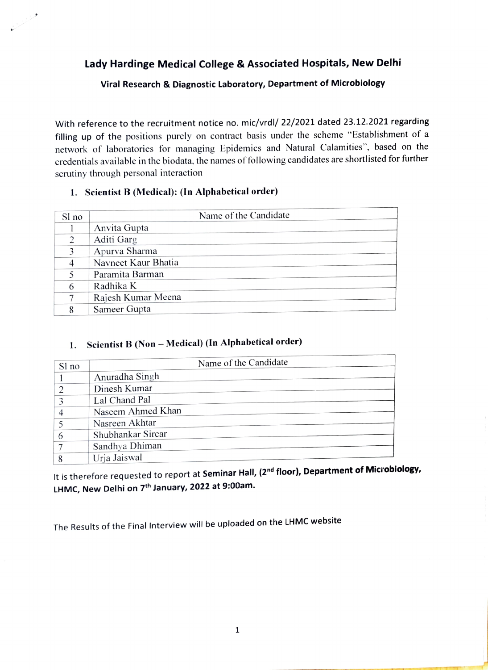Lady Hardinge Medical College & Associated Hospitals, New Delhi

Viral Research & Diagnostic Laboratory, Department of Microbiology

With reference to the recruitment notice no. mic/vrdl/ 22/2021 dated 23.12.2021 regarding filling up of the positions purely on contract basis under the scheme "Establishment of a network of laboratories for managing Epidemics and Natural Calamities", based on the credentials available in the biodata. the names of following candidates are shortlisted for further scrutiny through personal interaction

## 1. Scientist B (Medical): (ln Alphabetical order)

a Barbara

| Sl no         | Name of the Candidate |
|---------------|-----------------------|
|               | Anvita Gupta          |
| $\mathcal{D}$ | Aditi Garg            |
| 3             | Apurva Sharma         |
|               | Navneet Kaur Bhatia   |
| 5             | Paramita Barman       |
| 6             | Radhika K             |
| 7             | Rajesh Kumar Meena    |
| 8             | Sameer Gupta          |

## 1. Scientist B (Non - Medical) (In Alphabetical order)

| Sl no | Name of the Candidate |
|-------|-----------------------|
|       | Anuradha Singh        |
|       |                       |
|       | Dinesh Kumar          |
| 3     | Lal Chand Pal         |
|       | Naseem Ahmed Khan     |
|       | Nasreen Akhtar        |
| 6     | Shubhankar Sircar     |
|       | Sandhya Dhiman        |
| 8     | Urja Jaiswal          |

It is therefore requested to report at **Seminar Hall, (2<sup>nd</sup> floor), Department of Microbiology,** LHMC, New Delhi on 7<sup>th</sup> January, 2022 at 9:00am.

The Results of the Final Interview will be uploaded on the LHMC website